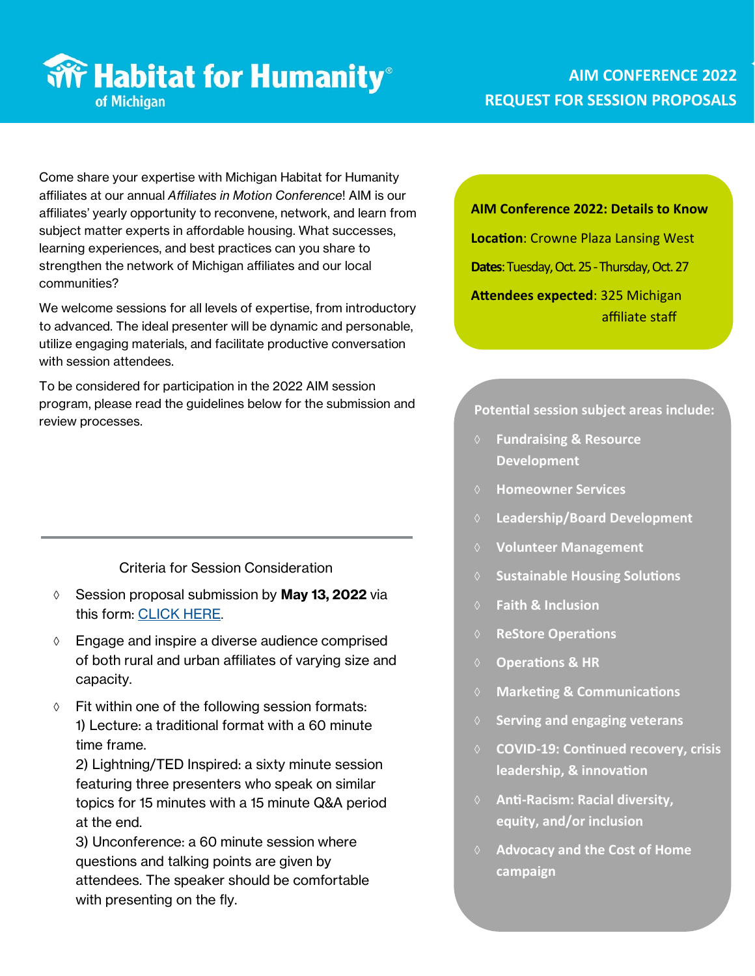# **Write Habitat for Humanity**® of Michigan

## **AIM CONFERENCE 2022 REQUEST FOR SESSION PROPOSALS**

Come share your expertise with Michigan Habitat for Humanity affiliates at our annual *Affiliates in Motion Conference*! AIM is our affiliates' yearly opportunity to reconvene, network, and learn from subject matter experts in affordable housing. What successes, learning experiences, and best practices can you share to strengthen the network of Michigan affiliates and our local communities?

We welcome sessions for all levels of expertise, from introductory to advanced. The ideal presenter will be dynamic and personable, utilize engaging materials, and facilitate productive conversation with session attendees.

To be considered for participation in the 2022 AIM session program, please read the guidelines below for the submission and review processes.

Criteria for Session Consideration

- Session proposal submission by **May 13, 2022** via this form: [CLICK HERE](https://form.asana.com/?k=QVWVXkQHNdbLqfyMMpKaCw&d=682768400099622).
- $\Diamond$  Engage and inspire a diverse audience comprised of both rural and urban affiliates of varying size and capacity.
- $\Diamond$  Fit within one of the following session formats: 1) Lecture: a traditional format with a 60 minute time frame.

2) Lightning/TED Inspired: a sixty minute session featuring three presenters who speak on similar topics for 15 minutes with a 15 minute Q&A period at the end.

3) Unconference: a 60 minute session where questions and talking points are given by attendees. The speaker should be comfortable with presenting on the fly.

#### **AIM Conference 2022: Details to Know**

**Location**: Crowne Plaza Lansing West

**Dates**: Tuesday, Oct. 25 -Thursday, Oct. 27

**Attendees expected**: 325 Michigan affiliate staff

### **Potential session subject areas include:**

- **Fundraising & Resource Development**
- **Homeowner Services**
- **Leadership/Board Development**
- **Volunteer Management**
- **Sustainable Housing Solutions**
- **Faith & Inclusion**
- **ReStore Operations**
- **Operations & HR**
- **Marketing & Communications**
- **Serving and engaging veterans**
- **COVID-19: Continued recovery, crisis leadership, & innovation**
- **Anti-Racism: Racial diversity, equity, and/or inclusion**
- **Advocacy and the Cost of Home campaign**